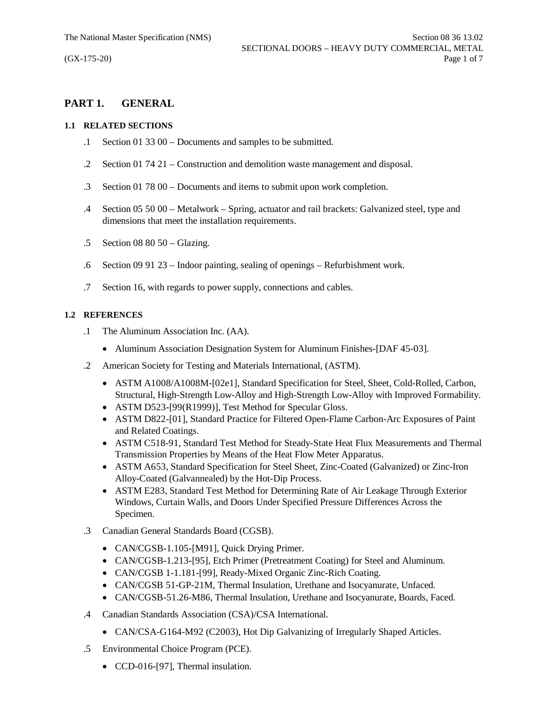# **PART 1. GENERAL**

#### **1.1 RELATED SECTIONS**

- .1 Section 01 33 00 Documents and samples to be submitted.
- .2 Section 01 74 21 Construction and demolition waste management and disposal.
- .3 Section 01 78 00 Documents and items to submit upon work completion.
- .4 Section 05 50 00 Metalwork Spring, actuator and rail brackets: Galvanized steel, type and dimensions that meet the installation requirements.
- .5 Section 08 80 50 Glazing.
- .6 Section 09 91 23 Indoor painting, sealing of openings Refurbishment work.
- .7 Section 16, with regards to power supply, connections and cables.

## **1.2 REFERENCES**

- .1 The Aluminum Association Inc. (AA).
	- Aluminum Association Designation System for Aluminum Finishes-[DAF 45-03].
- .2 American Society for Testing and Materials International, (ASTM).
	- · ASTM A1008/A1008M-[02e1], Standard Specification for Steel, Sheet, Cold-Rolled, Carbon, Structural, High-Strength Low-Alloy and High-Strength Low-Alloy with Improved Formability.
	- ASTM D523-[99(R1999)], Test Method for Specular Gloss.
	- · ASTM D822-[01], Standard Practice for Filtered Open-Flame Carbon-Arc Exposures of Paint and Related Coatings.
	- · ASTM C518-91, Standard Test Method for Steady-State Heat Flux Measurements and Thermal Transmission Properties by Means of the Heat Flow Meter Apparatus.
	- · ASTM A653, Standard Specification for Steel Sheet, Zinc-Coated (Galvanized) or Zinc-Iron Alloy-Coated (Galvannealed) by the Hot-Dip Process.
	- · ASTM E283, Standard Test Method for Determining Rate of Air Leakage Through Exterior Windows, Curtain Walls, and Doors Under Specified Pressure Differences Across the Specimen.
- .3 Canadian General Standards Board (CGSB).
	- CAN/CGSB-1.105-[M91], Quick Drying Primer.
	- · CAN/CGSB-1.213-[95], Etch Primer (Pretreatment Coating) for Steel and Aluminum.
	- · CAN/CGSB 1-1.181-[99], Ready-Mixed Organic Zinc-Rich Coating.
	- · CAN/CGSB 51-GP-21M, Thermal Insulation, Urethane and Isocyanurate, Unfaced.
	- · CAN/CGSB-51.26-M86, Thermal Insulation, Urethane and Isocyanurate, Boards, Faced.
- .4 Canadian Standards Association (CSA)/CSA International.
	- CAN/CSA-G164-M92 (C2003), Hot Dip Galvanizing of Irregularly Shaped Articles.
- .5 Environmental Choice Program (PCE).
	- CCD-016-[97], Thermal insulation.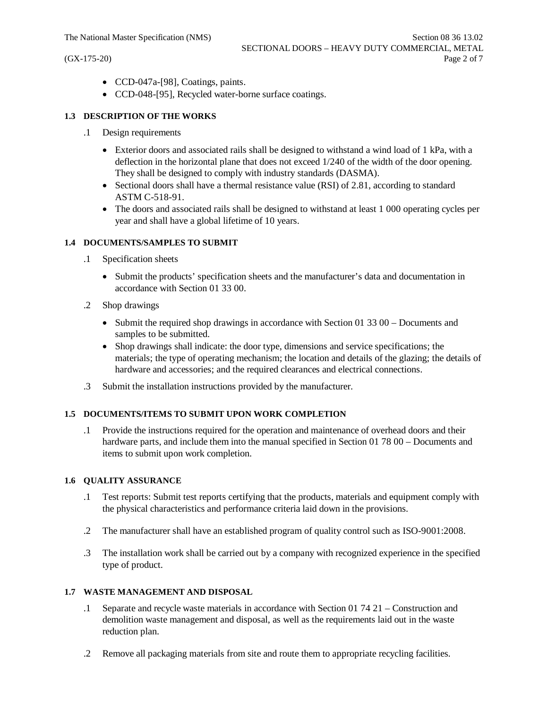- · CCD-047a-[98], Coatings, paints.
- · CCD-048-[95], Recycled water-borne surface coatings.

# **1.3 DESCRIPTION OF THE WORKS**

- .1 Design requirements
	- Exterior doors and associated rails shall be designed to withstand a wind load of 1 kPa, with a deflection in the horizontal plane that does not exceed 1/240 of the width of the door opening. They shall be designed to comply with industry standards (DASMA).
	- Sectional doors shall have a thermal resistance value (RSI) of 2.81, according to standard ASTM C-518-91.
	- The doors and associated rails shall be designed to withstand at least 1 000 operating cycles per year and shall have a global lifetime of 10 years.

# **1.4 DOCUMENTS/SAMPLES TO SUBMIT**

- .1 Specification sheets
	- · Submit the products' specification sheets and the manufacturer's data and documentation in accordance with Section 01 33 00.
- .2 Shop drawings
	- Submit the required shop drawings in accordance with Section 01 33 00 Documents and samples to be submitted.
	- · Shop drawings shall indicate: the door type, dimensions and service specifications; the materials; the type of operating mechanism; the location and details of the glazing; the details of hardware and accessories; and the required clearances and electrical connections.
- .3 Submit the installation instructions provided by the manufacturer.

#### **1.5 DOCUMENTS/ITEMS TO SUBMIT UPON WORK COMPLETION**

.1 Provide the instructions required for the operation and maintenance of overhead doors and their hardware parts, and include them into the manual specified in Section 01 78 00 – Documents and items to submit upon work completion.

#### **1.6 QUALITY ASSURANCE**

- .1 Test reports: Submit test reports certifying that the products, materials and equipment comply with the physical characteristics and performance criteria laid down in the provisions.
- .2 The manufacturer shall have an established program of quality control such as ISO-9001:2008.
- .3 The installation work shall be carried out by a company with recognized experience in the specified type of product.

#### **1.7 WASTE MANAGEMENT AND DISPOSAL**

- .1 Separate and recycle waste materials in accordance with Section 01 74 21 Construction and demolition waste management and disposal, as well as the requirements laid out in the waste reduction plan.
- .2 Remove all packaging materials from site and route them to appropriate recycling facilities.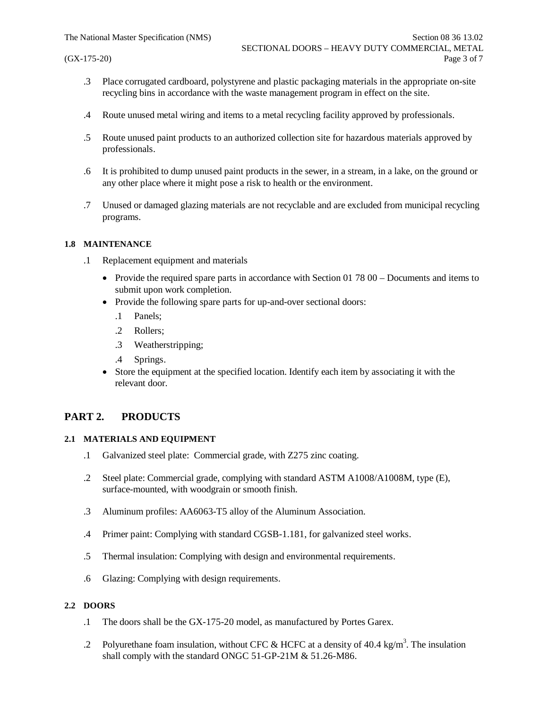- .3 Place corrugated cardboard, polystyrene and plastic packaging materials in the appropriate on-site recycling bins in accordance with the waste management program in effect on the site.
- .4 Route unused metal wiring and items to a metal recycling facility approved by professionals.
- .5 Route unused paint products to an authorized collection site for hazardous materials approved by professionals.
- .6 It is prohibited to dump unused paint products in the sewer, in a stream, in a lake, on the ground or any other place where it might pose a risk to health or the environment.
- .7 Unused or damaged glazing materials are not recyclable and are excluded from municipal recycling programs.

#### **1.8 MAINTENANCE**

- .1 Replacement equipment and materials
	- Provide the required spare parts in accordance with Section 01 78 00 Documents and items to submit upon work completion.
	- Provide the following spare parts for up-and-over sectional doors:
		- .1 Panels;
		- .2 Rollers;
		- .3 Weatherstripping;
		- .4 Springs.
	- Store the equipment at the specified location. Identify each item by associating it with the relevant door.

# **PART 2. PRODUCTS**

#### **2.1 MATERIALS AND EQUIPMENT**

- .1 Galvanized steel plate: Commercial grade, with Z275 zinc coating.
- .2 Steel plate: Commercial grade, complying with standard ASTM A1008/A1008M, type (E), surface-mounted, with woodgrain or smooth finish.
- .3 Aluminum profiles: AA6063-T5 alloy of the Aluminum Association.
- .4 Primer paint: Complying with standard CGSB-1.181, for galvanized steel works.
- .5 Thermal insulation: Complying with design and environmental requirements.
- .6 Glazing: Complying with design requirements.

### **2.2 DOORS**

- .1 The doors shall be the GX-175-20 model, as manufactured by Portes Garex.
- .2 Polyurethane foam insulation, without CFC & HCFC at a density of 40.4 kg/m<sup>3</sup>. The insulation shall comply with the standard ONGC 51-GP-21M & 51.26-M86.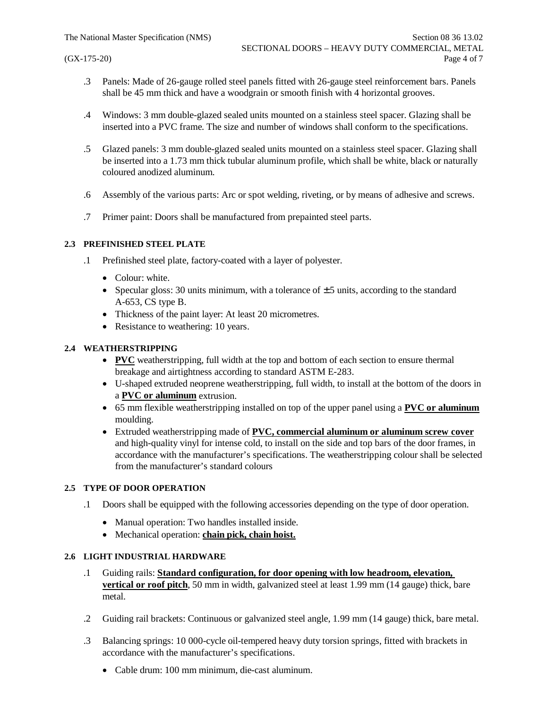- .3 Panels: Made of 26-gauge rolled steel panels fitted with 26-gauge steel reinforcement bars. Panels shall be 45 mm thick and have a woodgrain or smooth finish with 4 horizontal grooves.
- .4 Windows: 3 mm double-glazed sealed units mounted on a stainless steel spacer. Glazing shall be inserted into a PVC frame. The size and number of windows shall conform to the specifications.
- .5 Glazed panels: 3 mm double-glazed sealed units mounted on a stainless steel spacer. Glazing shall be inserted into a 1.73 mm thick tubular aluminum profile, which shall be white, black or naturally coloured anodized aluminum.
- .6 Assembly of the various parts: Arc or spot welding, riveting, or by means of adhesive and screws.
- .7 Primer paint: Doors shall be manufactured from prepainted steel parts.

#### **2.3 PREFINISHED STEEL PLATE**

- .1 Prefinished steel plate, factory-coated with a layer of polyester.
	- Colour: white.
	- Specular gloss: 30 units minimum, with a tolerance of  $\pm$  5 units, according to the standard A-653, CS type B.
	- Thickness of the paint layer: At least 20 micrometres.
	- Resistance to weathering: 10 years.

# **2.4 WEATHERSTRIPPING**

- · **PVC** weatherstripping, full width at the top and bottom of each section to ensure thermal breakage and airtightness according to standard ASTM E-283.
- · U-shaped extruded neoprene weatherstripping, full width, to install at the bottom of the doors in a **PVC or aluminum** extrusion.
- · 65 mm flexible weatherstripping installed on top of the upper panel using a **PVC or aluminum** moulding.
- · Extruded weatherstripping made of **PVC, commercial aluminum or aluminum screw cover** and high-quality vinyl for intense cold, to install on the side and top bars of the door frames, in accordance with the manufacturer's specifications. The weatherstripping colour shall be selected from the manufacturer's standard colours

#### **2.5 TYPE OF DOOR OPERATION**

- .1 Doors shall be equipped with the following accessories depending on the type of door operation.
	- Manual operation: Two handles installed inside.
	- · Mechanical operation: **chain pick, chain hoist.**

# **2.6 LIGHT INDUSTRIAL HARDWARE**

- .1 Guiding rails: **Standard configuration, for door opening with low headroom, elevation, vertical or roof pitch**, 50 mm in width, galvanized steel at least 1.99 mm (14 gauge) thick, bare metal.
- .2 Guiding rail brackets: Continuous or galvanized steel angle, 1.99 mm (14 gauge) thick, bare metal.
- .3 Balancing springs: 10 000-cycle oil-tempered heavy duty torsion springs, fitted with brackets in accordance with the manufacturer's specifications.
	- · Cable drum: 100 mm minimum, die-cast aluminum.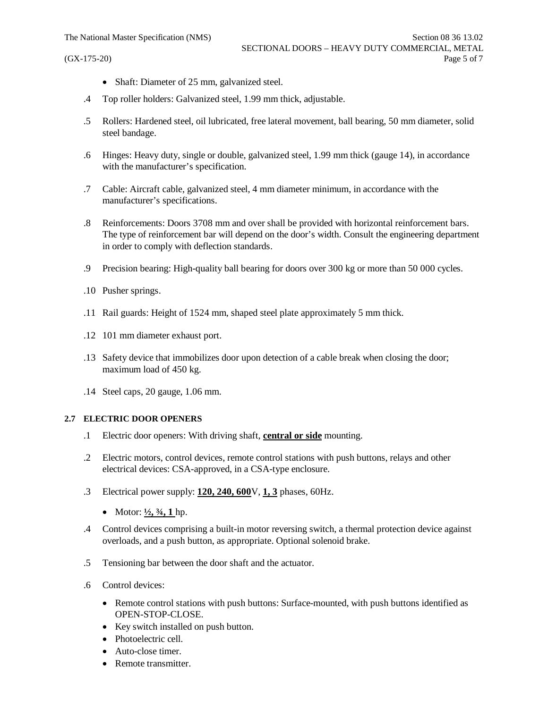- Shaft: Diameter of 25 mm, galvanized steel.
- .4 Top roller holders: Galvanized steel, 1.99 mm thick, adjustable.
- .5 Rollers: Hardened steel, oil lubricated, free lateral movement, ball bearing, 50 mm diameter, solid steel bandage.
- .6 Hinges: Heavy duty, single or double, galvanized steel, 1.99 mm thick (gauge 14), in accordance with the manufacturer's specification.
- .7 Cable: Aircraft cable, galvanized steel, 4 mm diameter minimum, in accordance with the manufacturer's specifications.
- .8 Reinforcements: Doors 3708 mm and over shall be provided with horizontal reinforcement bars. The type of reinforcement bar will depend on the door's width. Consult the engineering department in order to comply with deflection standards.
- .9 Precision bearing: High-quality ball bearing for doors over 300 kg or more than 50 000 cycles.
- .10 Pusher springs.
- .11 Rail guards: Height of 1524 mm, shaped steel plate approximately 5 mm thick.
- .12 101 mm diameter exhaust port.
- .13 Safety device that immobilizes door upon detection of a cable break when closing the door; maximum load of 450 kg.
- .14 Steel caps, 20 gauge, 1.06 mm.

#### **2.7 ELECTRIC DOOR OPENERS**

- .1 Electric door openers: With driving shaft, **central or side** mounting.
- .2 Electric motors, control devices, remote control stations with push buttons, relays and other electrical devices: CSA-approved, in a CSA-type enclosure.
- .3 Electrical power supply: **120, 240, 600**V, **1, 3** phases, 60Hz.
	- Motor:  $\frac{1}{2}$ ,  $\frac{3}{4}$ , 1 hp.
- .4 Control devices comprising a built-in motor reversing switch, a thermal protection device against overloads, and a push button, as appropriate. Optional solenoid brake.
- .5 Tensioning bar between the door shaft and the actuator.
- .6 Control devices:
	- Remote control stations with push buttons: Surface-mounted, with push buttons identified as OPEN-STOP-CLOSE.
	- · Key switch installed on push button.
	- Photoelectric cell.
	- Auto-close timer.
	- Remote transmitter.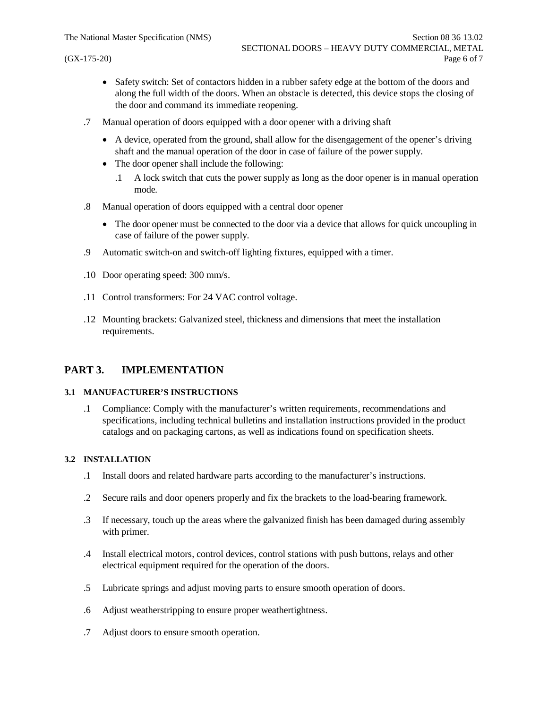- Safety switch: Set of contactors hidden in a rubber safety edge at the bottom of the doors and along the full width of the doors. When an obstacle is detected, this device stops the closing of the door and command its immediate reopening.
- .7 Manual operation of doors equipped with a door opener with a driving shaft
	- · A device, operated from the ground, shall allow for the disengagement of the opener's driving shaft and the manual operation of the door in case of failure of the power supply.
	- The door opener shall include the following:
		- .1 A lock switch that cuts the power supply as long as the door opener is in manual operation mode.
- .8 Manual operation of doors equipped with a central door opener
	- The door opener must be connected to the door via a device that allows for quick uncoupling in case of failure of the power supply.
- .9 Automatic switch-on and switch-off lighting fixtures, equipped with a timer.
- .10 Door operating speed: 300 mm/s.
- .11 Control transformers: For 24 VAC control voltage.
- .12 Mounting brackets: Galvanized steel, thickness and dimensions that meet the installation requirements.

# **PART 3. IMPLEMENTATION**

#### **3.1 MANUFACTURER'S INSTRUCTIONS**

.1 Compliance: Comply with the manufacturer's written requirements, recommendations and specifications, including technical bulletins and installation instructions provided in the product catalogs and on packaging cartons, as well as indications found on specification sheets.

#### **3.2 INSTALLATION**

- .1 Install doors and related hardware parts according to the manufacturer's instructions.
- .2 Secure rails and door openers properly and fix the brackets to the load-bearing framework.
- .3 If necessary, touch up the areas where the galvanized finish has been damaged during assembly with primer.
- .4 Install electrical motors, control devices, control stations with push buttons, relays and other electrical equipment required for the operation of the doors.
- .5 Lubricate springs and adjust moving parts to ensure smooth operation of doors.
- .6 Adjust weatherstripping to ensure proper weathertightness.
- .7 Adjust doors to ensure smooth operation.